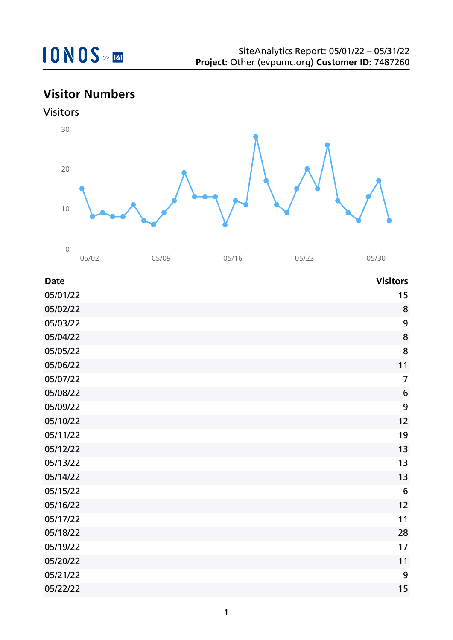## **Visitor Numbers**





05/02 05/09 05/16 05/23 05/30

| <b>Date</b> | <b>Visitors</b> |
|-------------|-----------------|
| 05/01/22    | 15              |
| 05/02/22    | 8               |
| 05/03/22    | 9               |
| 05/04/22    | 8               |
| 05/05/22    | 8               |
| 05/06/22    | 11              |
| 05/07/22    | $\overline{7}$  |
| 05/08/22    | $6\phantom{1}6$ |
| 05/09/22    | 9               |
| 05/10/22    | 12              |
| 05/11/22    | 19              |
| 05/12/22    | 13              |
| 05/13/22    | 13              |
| 05/14/22    | 13              |
| 05/15/22    | $6\,$           |
| 05/16/22    | 12              |
| 05/17/22    | 11              |
| 05/18/22    | 28              |
| 05/19/22    | 17              |
| 05/20/22    | 11              |
| 05/21/22    | 9               |
| 05/22/22    | 15              |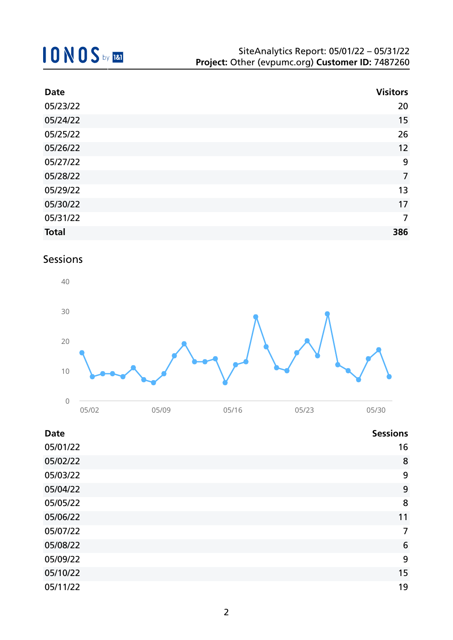| <b>Date</b>  | <b>Visitors</b> |
|--------------|-----------------|
| 05/23/22     | 20              |
| 05/24/22     | 15              |
| 05/25/22     | 26              |
| 05/26/22     | 12              |
| 05/27/22     | 9               |
| 05/28/22     | $\overline{7}$  |
| 05/29/22     | 13              |
| 05/30/22     | 17              |
| 05/31/22     | 7               |
| <b>Total</b> | 386             |

### Sessions



| <b>Date</b> | <b>Sessions</b> |
|-------------|-----------------|
| 05/01/22    | 16              |
| 05/02/22    | 8               |
| 05/03/22    | 9               |
| 05/04/22    | 9               |
| 05/05/22    | 8               |
| 05/06/22    | 11              |
| 05/07/22    | 7               |
| 05/08/22    | 6               |
| 05/09/22    | 9               |
| 05/10/22    | 15              |
| 05/11/22    | 19              |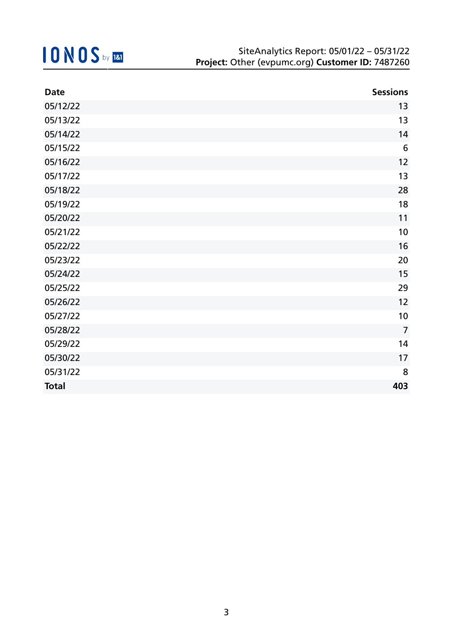| <b>Date</b>  | <b>Sessions</b> |
|--------------|-----------------|
| 05/12/22     | 13              |
| 05/13/22     | 13              |
| 05/14/22     | 14              |
| 05/15/22     | $6\phantom{1}6$ |
| 05/16/22     | 12              |
| 05/17/22     | 13              |
| 05/18/22     | 28              |
| 05/19/22     | 18              |
| 05/20/22     | 11              |
| 05/21/22     | 10              |
| 05/22/22     | 16              |
| 05/23/22     | 20              |
| 05/24/22     | 15              |
| 05/25/22     | 29              |
| 05/26/22     | 12              |
| 05/27/22     | 10              |
| 05/28/22     | $\overline{7}$  |
| 05/29/22     | 14              |
| 05/30/22     | 17              |
| 05/31/22     | 8               |
| <b>Total</b> | 403             |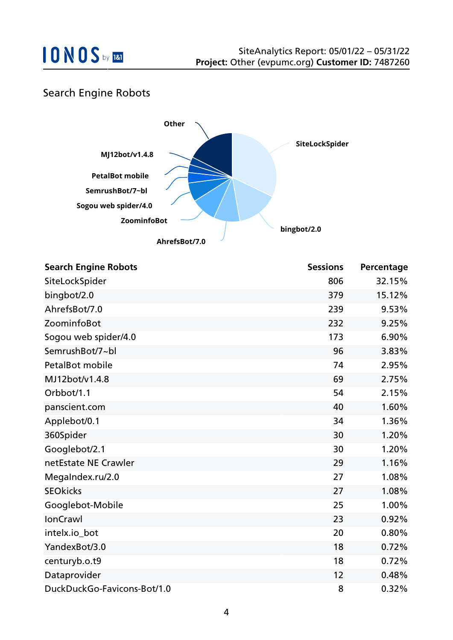### Search Engine Robots



| <b>Search Engine Robots</b> | <b>Sessions</b> | Percentage |
|-----------------------------|-----------------|------------|
| SiteLockSpider              | 806             | 32.15%     |
| bingbot/2.0                 | 379             | 15.12%     |
| AhrefsBot/7.0               | 239             | 9.53%      |
| ZoominfoBot                 | 232             | 9.25%      |
| Sogou web spider/4.0        | 173             | 6.90%      |
| SemrushBot/7~bl             | 96              | 3.83%      |
| <b>PetalBot mobile</b>      | 74              | 2.95%      |
| MJ12bot/v1.4.8              | 69              | 2.75%      |
| Orbbot/1.1                  | 54              | 2.15%      |
| panscient.com               | 40              | 1.60%      |
| Applebot/0.1                | 34              | 1.36%      |
| 360Spider                   | 30              | 1.20%      |
| Googlebot/2.1               | 30              | 1.20%      |
| netEstate NE Crawler        | 29              | 1.16%      |
| MegaIndex.ru/2.0            | 27              | 1.08%      |
| <b>SEOkicks</b>             | 27              | 1.08%      |
| Googlebot-Mobile            | 25              | 1.00%      |
| <b>IonCrawl</b>             | 23              | 0.92%      |
| intelx.io_bot               | 20              | 0.80%      |
| YandexBot/3.0               | 18              | 0.72%      |
| centuryb.o.t9               | 18              | 0.72%      |
| Dataprovider                | 12              | 0.48%      |
| DuckDuckGo-Favicons-Bot/1.0 | 8               | 0.32%      |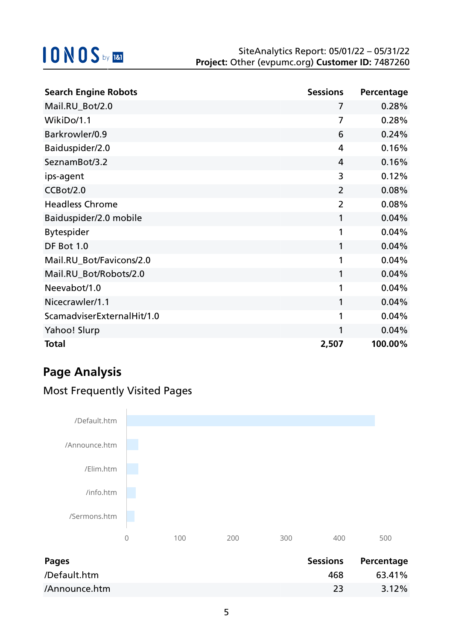| <b>Search Engine Robots</b> | <b>Sessions</b> | Percentage |
|-----------------------------|-----------------|------------|
| Mail.RU_Bot/2.0             | 7               | 0.28%      |
| WikiDo/1.1                  | $\overline{7}$  | 0.28%      |
| Barkrowler/0.9              | 6               | 0.24%      |
| Baiduspider/2.0             | 4               | 0.16%      |
| SeznamBot/3.2               | 4               | 0.16%      |
| ips-agent                   | 3               | 0.12%      |
| CCBot/2.0                   | $\overline{2}$  | 0.08%      |
| <b>Headless Chrome</b>      | $\overline{2}$  | 0.08%      |
| Baiduspider/2.0 mobile      | 1               | 0.04%      |
| <b>Bytespider</b>           | 1               | 0.04%      |
| DF Bot 1.0                  | 1               | 0.04%      |
| Mail.RU_Bot/Favicons/2.0    | 1               | 0.04%      |
| Mail.RU_Bot/Robots/2.0      | 1               | 0.04%      |
| Neevabot/1.0                | 1               | 0.04%      |
| Nicecrawler/1.1             | 1               | 0.04%      |
| ScamadviserExternalHit/1.0  | 1               | 0.04%      |
| Yahoo! Slurp                | 1               | 0.04%      |
| <b>Total</b>                | 2,507           | 100.00%    |

## **Page Analysis**

## Most Frequently Visited Pages

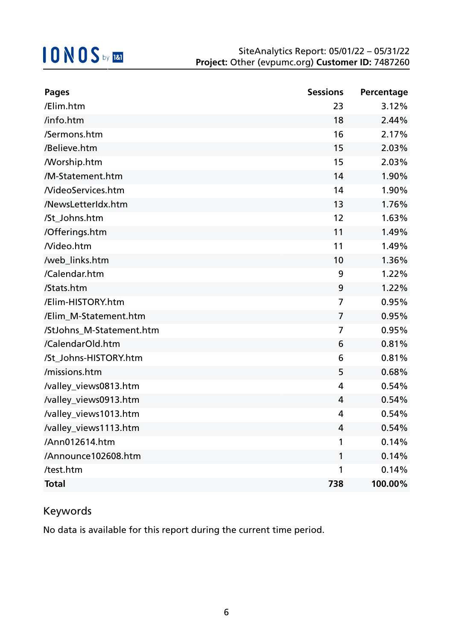| <b>Pages</b>               | <b>Sessions</b> | Percentage |
|----------------------------|-----------------|------------|
| /Elim.htm                  | 23              | 3.12%      |
| /info.htm                  | 18              | 2.44%      |
| /Sermons.htm               | 16              | 2.17%      |
| /Believe.htm               | 15              | 2.03%      |
| <b><i>N</i></b> orship.htm | 15              | 2.03%      |
| /M-Statement.htm           | 14              | 1.90%      |
| <b>NideoServices.htm</b>   | 14              | 1.90%      |
| /NewsLetterIdx.htm         | 13              | 1.76%      |
| /St_Johns.htm              | 12              | 1.63%      |
| /Offerings.htm             | 11              | 1.49%      |
| Nideo.htm                  | 11              | 1.49%      |
| /web links.htm             | 10              | 1.36%      |
| /Calendar.htm              | 9               | 1.22%      |
| /Stats.htm                 | 9               | 1.22%      |
| /Elim-HISTORY.htm          | 7               | 0.95%      |
| /Elim_M-Statement.htm      | 7               | 0.95%      |
| /StJohns_M-Statement.htm   | 7               | 0.95%      |
| /CalendarOld.htm           | 6               | 0.81%      |
| /St_Johns-HISTORY.htm      | 6               | 0.81%      |
| /missions.htm              | 5               | 0.68%      |
| /valley_views0813.htm      | 4               | 0.54%      |
| /valley_views0913.htm      | 4               | 0.54%      |
| /valley_views1013.htm      | 4               | 0.54%      |
| /valley_views1113.htm      | 4               | 0.54%      |
| /Ann012614.htm             | 1               | 0.14%      |
| /Announce102608.htm        | 1               | 0.14%      |
| /test.htm                  | 1               | 0.14%      |
| <b>Total</b>               | 738             | 100.00%    |

### Keywords

No data is available for this report during the current time period.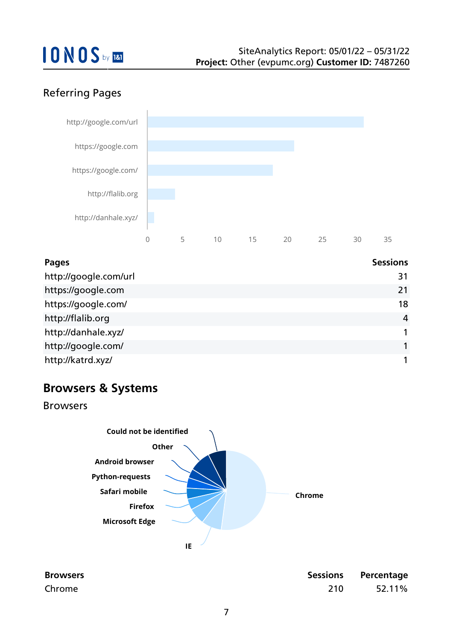## Referring Pages



| Pages                 | <b>Sessions</b> |
|-----------------------|-----------------|
| http://google.com/url | 31              |
| https://google.com    | 21              |
| https://google.com/   | 18              |
| http://flalib.org     | 4               |
| http://danhale.xyz/   |                 |
| http://google.com/    |                 |
| http://katrd.xyz/     |                 |

## **Browsers & Systems**

Browsers



| <b>Browsers</b> |     | <b>Sessions Percentage</b> |
|-----------------|-----|----------------------------|
| Chrome          | 210 | 52.11%                     |

| essions | Percentage |
|---------|------------|
| 210     | 52.11%     |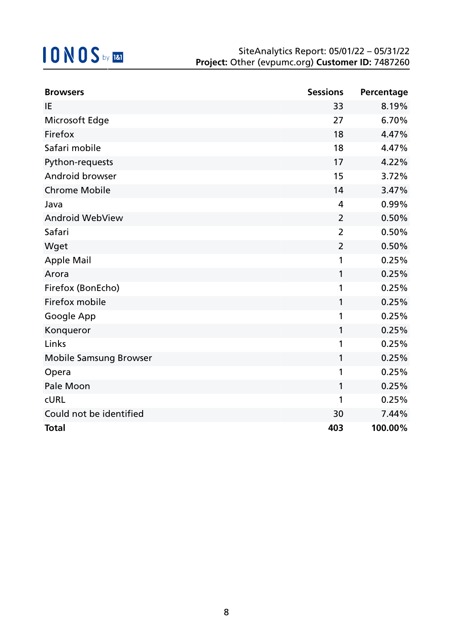| <b>Browsers</b>         | <b>Sessions</b> | Percentage |
|-------------------------|-----------------|------------|
| IE                      | 33              | 8.19%      |
| Microsoft Edge          | 27              | 6.70%      |
| Firefox                 | 18              | 4.47%      |
| Safari mobile           | 18              | 4.47%      |
| Python-requests         | 17              | 4.22%      |
| Android browser         | 15              | 3.72%      |
| <b>Chrome Mobile</b>    | 14              | 3.47%      |
| Java                    | 4               | 0.99%      |
| <b>Android WebView</b>  | $\overline{2}$  | 0.50%      |
| Safari                  | $\overline{2}$  | 0.50%      |
| Wget                    | $\overline{2}$  | 0.50%      |
| <b>Apple Mail</b>       | 1               | 0.25%      |
| Arora                   | 1               | 0.25%      |
| Firefox (BonEcho)       | 1               | 0.25%      |
| Firefox mobile          | 1               | 0.25%      |
| Google App              | 1               | 0.25%      |
| Konqueror               | 1               | 0.25%      |
| Links                   | 1               | 0.25%      |
| Mobile Samsung Browser  | 1               | 0.25%      |
| Opera                   | 1               | 0.25%      |
| Pale Moon               | $\mathbf{1}$    | 0.25%      |
| <b>CURL</b>             | 1               | 0.25%      |
| Could not be identified | 30              | 7.44%      |
| <b>Total</b>            | 403             | 100.00%    |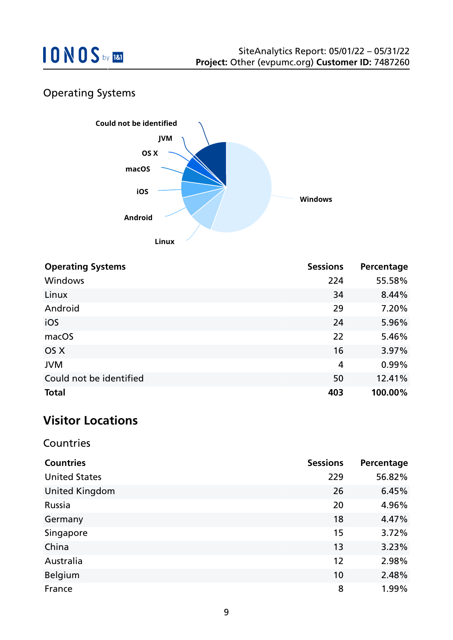

## Operating Systems



| <b>Operating Systems</b> | <b>Sessions</b> | Percentage |
|--------------------------|-----------------|------------|
| Windows                  | 224             | 55.58%     |
| Linux                    | 34              | 8.44%      |
| Android                  | 29              | 7.20%      |
| iOS                      | 24              | 5.96%      |
| macOS                    | 22              | 5.46%      |
| OS X                     | 16              | 3.97%      |
| <b>JVM</b>               | $\overline{4}$  | 0.99%      |
| Could not be identified  | 50              | 12.41%     |
| <b>Total</b>             | 403             | 100.00%    |

## **Visitor Locations**

#### Countries

| <b>Countries</b>      | <b>Sessions</b> | Percentage |
|-----------------------|-----------------|------------|
| <b>United States</b>  | 229             | 56.82%     |
| <b>United Kingdom</b> | 26              | 6.45%      |
| Russia                | 20              | 4.96%      |
| Germany               | 18              | 4.47%      |
| Singapore             | 15              | 3.72%      |
| China                 | 13              | 3.23%      |
| Australia             | 12              | 2.98%      |
| <b>Belgium</b>        | 10              | 2.48%      |
| France                | 8               | 1.99%      |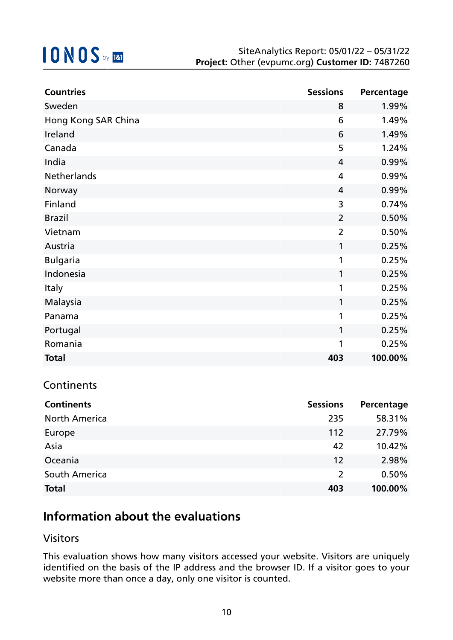| <b>Countries</b>    | <b>Sessions</b> | Percentage |
|---------------------|-----------------|------------|
| Sweden              | 8               | 1.99%      |
| Hong Kong SAR China | 6               | 1.49%      |
| Ireland             | 6               | 1.49%      |
| Canada              | 5               | 1.24%      |
| India               | 4               | 0.99%      |
| Netherlands         | 4               | 0.99%      |
| Norway              | 4               | 0.99%      |
| Finland             | 3               | 0.74%      |
| <b>Brazil</b>       | $\overline{2}$  | 0.50%      |
| Vietnam             | $\overline{2}$  | 0.50%      |
| Austria             | $\mathbf{1}$    | 0.25%      |
| <b>Bulgaria</b>     | 1               | 0.25%      |
| Indonesia           | 1               | 0.25%      |
| <b>Italy</b>        | 1               | 0.25%      |
| Malaysia            | 1               | 0.25%      |
| Panama              | 1               | 0.25%      |
| Portugal            | 1               | 0.25%      |
| Romania             | 1               | 0.25%      |
| <b>Total</b>        | 403             | 100.00%    |

#### **Continents**

| <b>Continents</b>    | <b>Sessions</b> | Percentage |
|----------------------|-----------------|------------|
| <b>North America</b> | 235             | 58.31%     |
| Europe               | 112             | 27.79%     |
| Asia                 | 42              | 10.42%     |
| Oceania              | 12              | 2.98%      |
| South America        | 2               | 0.50%      |
| <b>Total</b>         | 403             | 100.00%    |

## **Information about the evaluations**

#### Visitors

This evaluation shows how many visitors accessed your website. Visitors are uniquely identified on the basis of the IP address and the browser ID. If a visitor goes to your website more than once a day, only one visitor is counted.